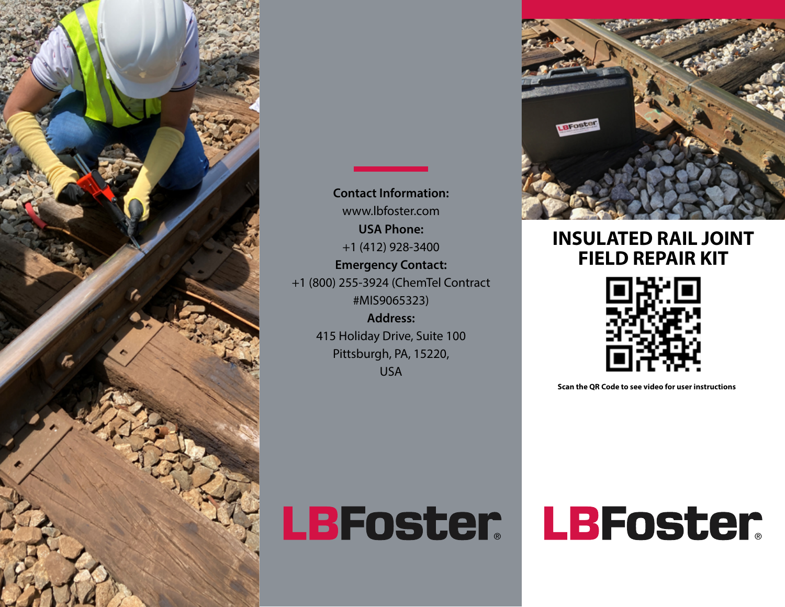

**Contact Information:** www.lbfoster.com **USA Phone:** +1 (412) 928-3400 **Emergency Contact:** +1 (800) 255-3924 (ChemTel Contract #MIS9065323) **Address:**  415 Holiday Drive, Suite 100 Pittsburgh, PA, 15220, USA



## **INSULATED RAIL JOINT FIELD REPAIR KIT**



**Scan the QR Code to see video for user instructions**

LBFoster

# LBFoster